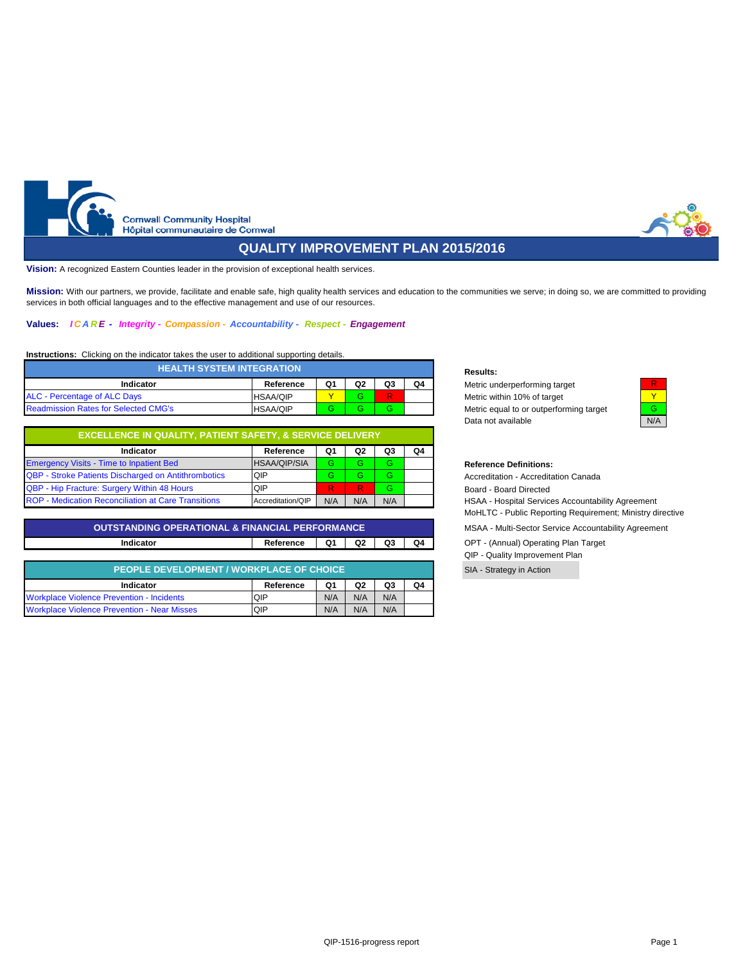<span id="page-0-1"></span><span id="page-0-0"></span>

# **QUALITY IMPROVEMENT PLAN 2015/2016**

**Vision:** A recognized Eastern Counties leader in the provision of exceptional health services.

**Mission:** With our partners, we provide, facilitate and enable safe, high quality health services and education to the communities we serve; in doing so, we are committed to providing services in both official languages and to the effective management and use of our resources.

#### **Values:** *I C A R E - Integrity - Compassion - Accountability - Respect - Engagement*

## **Instructions:** Clicking on the indicator takes the user to additional supporting details.

| <b>HEALTH SYSTEM INTEGRATION</b>            |                 |    |    |    |    |  |  |  |  |  |
|---------------------------------------------|-----------------|----|----|----|----|--|--|--|--|--|
| Indicator                                   | Reference       | Q1 | Q2 | Q3 | Q4 |  |  |  |  |  |
| ALC - Percentage of ALC Days                | <b>HSAA/QIP</b> |    | G. |    |    |  |  |  |  |  |
| <b>Readmission Rates for Selected CMG's</b> | <b>HSAA/QIP</b> |    | G. | ь  |    |  |  |  |  |  |

| <b>EXCELLENCE IN QUALITY, PATIENT SAFETY, &amp; SERVICE DELIVERY</b> |                     |     |     |     |    |  |  |  |  |  |  |
|----------------------------------------------------------------------|---------------------|-----|-----|-----|----|--|--|--|--|--|--|
| Indicator                                                            | Reference           | Q1  | Q2  | Q3  | Q4 |  |  |  |  |  |  |
| <b>Emergency Visits - Time to Inpatient Bed</b>                      | <b>HSAA/QIP/SIA</b> | G   | G.  |     |    |  |  |  |  |  |  |
| QBP - Stroke Patients Discharged on Antithrombotics                  | QIP                 | G   | G   | G   |    |  |  |  |  |  |  |
| QBP - Hip Fracture: Surgery Within 48 Hours                          | QIP                 |     | R   |     |    |  |  |  |  |  |  |
| ROP - Medication Reconciliation at Care Transitions                  | Accreditation/QIP   | N/A | N/A | N/A |    |  |  |  |  |  |  |

## **Indicator Reference Q1 Q2 Q3 Q4** OPT - (Annual) Operating Plan Target **[OUTSTANDING OPERATIONAL & FINANCIAL PERFORMANCE](#page-10-0)**

| PEOPLE DEVELOPMENT / WORKPLACE OF CHOICE           |           |     |                |     |    |  |  |  |  |  |
|----------------------------------------------------|-----------|-----|----------------|-----|----|--|--|--|--|--|
| Indicator                                          | Reference | Q1  | Q <sub>2</sub> | Q3  | Q4 |  |  |  |  |  |
| <b>Workplace Violence Prevention - Incidents</b>   | QIP       | N/A | N/A            | N/A |    |  |  |  |  |  |
| <b>Workplace Violence Prevention - Near Misses</b> | QIP       | N/A | N/A            | N/A |    |  |  |  |  |  |

#### **Results:**

**Metric underperforming target** Metric within 10% of target Metric equal to or outperforming target Data not available N/A



## $Reference$  Definitions:

Accreditation - Accreditation Canada Board - Board Directed HSAA - Hospital Services Accountability Agreement

MoHLTC - Public Reporting Requirement; Ministry directive

MSAA - Multi-Sector Service Accountability Agreement

QIP - Quality Improvement Plan

SIA - Strategy in Action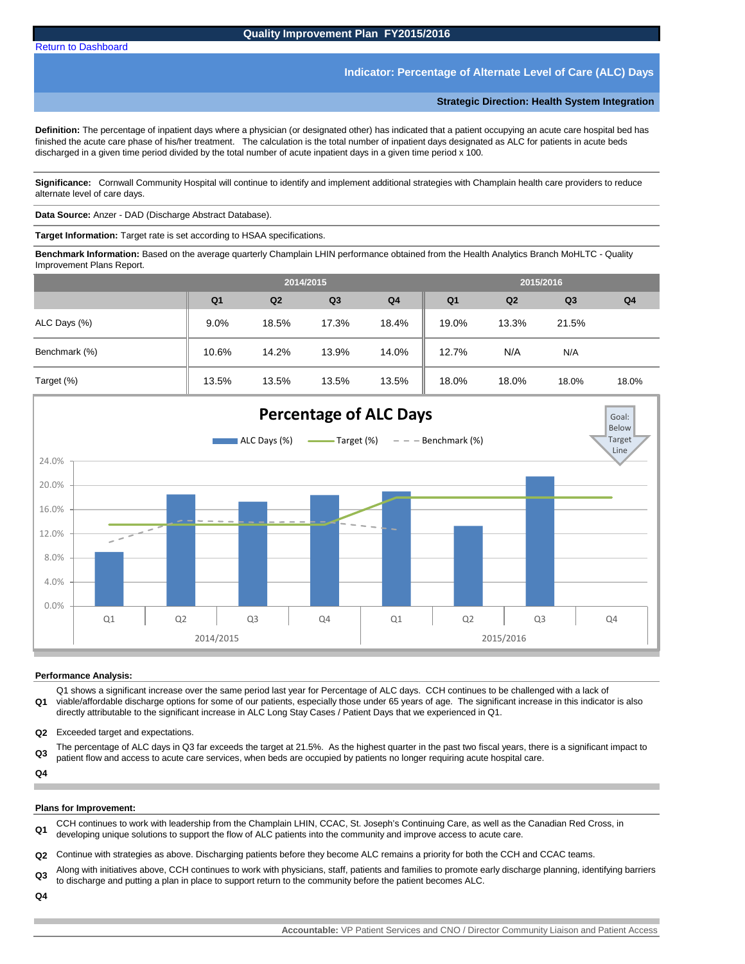## **Indicator: Percentage of Alternate Level of Care (ALC) Days**

**Strategic Direction: Health System Integration** 

<span id="page-2-0"></span>**Definition:** The percentage of inpatient days where a physician (or designated other) has indicated that a patient occupying an acute care hospital bed has finished the acute care phase of his/her treatment. The calculation is the total number of inpatient days designated as ALC for patients in acute beds discharged in a given time period divided by the total number of acute inpatient days in a given time period x 100.

**Significance:** Cornwall Community Hospital will continue to identify and implement additional strategies with Champlain health care providers to reduce alternate level of care days.

**Data Source:** Anzer - DAD (Discharge Abstract Database).

**Target Information:** Target rate is set according to HSAA specifications.

**Benchmark Information:** Based on the average quarterly Champlain LHIN performance obtained from the Health Analytics Branch MoHLTC - Quality Improvement Plans Report.

|               |                | 2014/2015      |                |                | 2015/2016      |                |                |                |
|---------------|----------------|----------------|----------------|----------------|----------------|----------------|----------------|----------------|
|               | Q <sub>1</sub> | Q <sub>2</sub> | Q <sub>3</sub> | Q <sub>4</sub> | Q <sub>1</sub> | Q <sub>2</sub> | Q <sub>3</sub> | Q <sub>4</sub> |
| ALC Days (%)  | $9.0\%$        | 18.5%          | 17.3%          | 18.4%          | 19.0%          | 13.3%          | 21.5%          |                |
| Benchmark (%) | 10.6%          | 14.2%          | 13.9%          | 14.0%          | 12.7%          | N/A            | N/A            |                |
| Target (%)    | 13.5%          | 13.5%          | 13.5%          | 13.5%          | 18.0%          | 18.0%          | 18.0%          | 18.0%          |



#### **Performance Analysis:**

**Q1** Q1 shows a significant increase over the same period last year for Percentage of ALC days. CCH continues to be challenged with a lack of viable/affordable discharge options for some of our patients, especially those under 65 years of age. The significant increase in this indicator is also directly attributable to the significant increase in ALC Long Stay Cases / Patient Days that we experienced in Q1.

**Q2** Exceeded target and expectations.

**Q3** The percentage of ALC days in Q3 far exceeds the target at 21.5%. As the highest quarter in the past two fiscal years, there is a significant impact to patient flow and access to acute care services, when beds are occupied by patients no longer requiring acute hospital care.

**Q4**

### **Plans for Improvement:**

**Q1** CCH continues to work with leadership from the Champlain LHIN, CCAC, St. Joseph's Continuing Care, as well as the Canadian Red Cross, in developing unique solutions to support the flow of ALC patients into the community and improve access to acute care.

**Q2** Continue with strategies as above. Discharging patients before they become ALC remains a priority for both the CCH and CCAC teams.

**Q3** Along with initiatives above, CCH continues to work with physicians, staff, patients and families to promote early discharge planning, identifying barriers to discharge and putting a plan in place to support return to the community before the patient becomes ALC.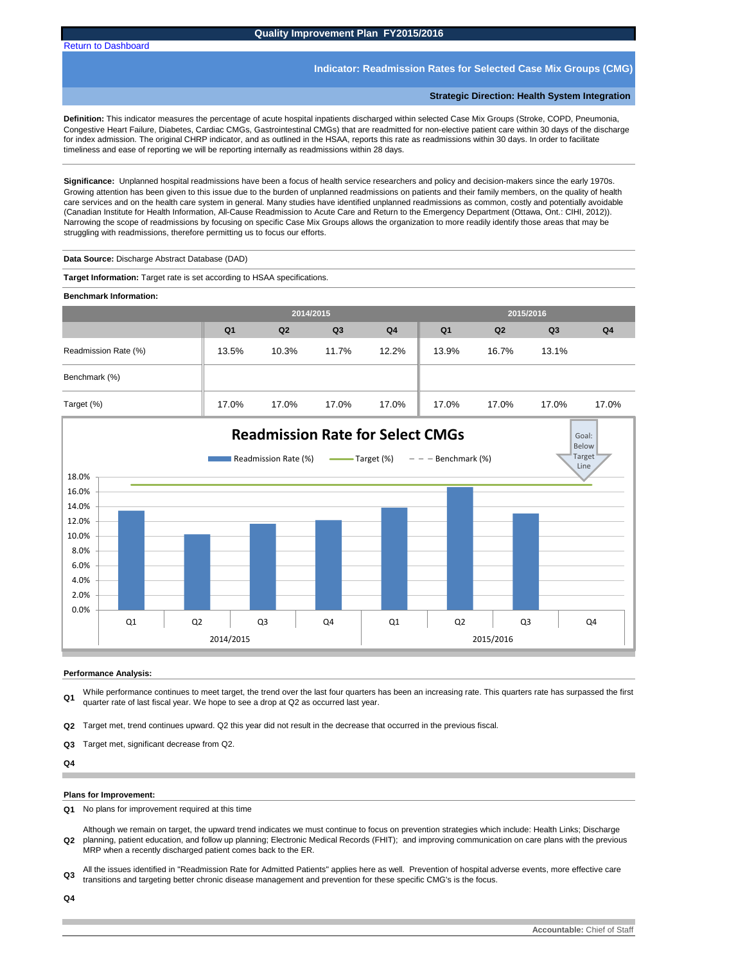<span id="page-3-0"></span>[Return to Dashboard](#page-0-0)

## **Quality Improvement Plan FY2015/2016**

### **Indicator: Readmission Rates for Selected Case Mix Groups (CMG)**

**Strategic Direction: Health System Integration** 

**Definition:** This indicator measures the percentage of acute hospital inpatients discharged within selected Case Mix Groups (Stroke, COPD, Pneumonia, Congestive Heart Failure, Diabetes, Cardiac CMGs, Gastrointestinal CMGs) that are readmitted for non-elective patient care within 30 days of the discharge for index admission. The original CHRP indicator, and as outlined in the HSAA, reports this rate as readmissions within 30 days. In order to facilitate timeliness and ease of reporting we will be reporting internally as readmissions within 28 days.

**Significance:** Unplanned hospital readmissions have been a focus of health service researchers and policy and decision-makers since the early 1970s. Growing attention has been given to this issue due to the burden of unplanned readmissions on patients and their family members, on the quality of health care services and on the health care system in general. Many studies have identified unplanned readmissions as common, costly and potentially avoidable (Canadian Institute for Health Information, All-Cause Readmission to Acute Care and Return to the Emergency Department (Ottawa, Ont.: CIHI, 2012)). Narrowing the scope of readmissions by focusing on specific Case Mix Groups allows the organization to more readily identify those areas that may be struggling with readmissions, therefore permitting us to focus our efforts.

**Data Source:** Discharge Abstract Database (DAD)

**Target Information:** Target rate is set according to HSAA specifications.

**Benchmark Information:** 

|                      |                | 2014/2015      |       |                |                | 2015/2016      |                |                |
|----------------------|----------------|----------------|-------|----------------|----------------|----------------|----------------|----------------|
|                      | Q <sub>1</sub> | Q <sub>2</sub> | Q3    | Q <sub>4</sub> | Q <sub>1</sub> | Q <sub>2</sub> | Q <sub>3</sub> | Q <sub>4</sub> |
| Readmission Rate (%) | 13.5%          | 10.3%          | 11.7% | 12.2%          | 13.9%          | 16.7%          | 13.1%          |                |
| Benchmark (%)        |                |                |       |                |                |                |                |                |
| Target (%)           | 17.0%          | 17.0%          | 17.0% | 17.0%          | 17.0%          | 17.0%          | 17.0%          | 17.0%          |



### **Performance Analysis:**

**Q1** While performance continues to meet target, the trend over the last four quarters has been an increasing rate. This quarters rate has surpassed the first quarter rate of last fiscal year. We hope to see a drop at Q2 as occurred last year.

**Q2** Target met, trend continues upward. Q2 this year did not result in the decrease that occurred in the previous fiscal.

**Q3** Target met, significant decrease from Q2.

**Q4**

#### **Plans for Improvement:**

**Q1** No plans for improvement required at this time

**Q2** Although we remain on target, the upward trend indicates we must continue to focus on prevention strategies which include: Health Links; Discharge planning, patient education, and follow up planning; Electronic Medical Records (FHIT); and improving communication on care plans with the previous MRP when a recently discharged patient comes back to the ER.

**Q3** All the issues identified in "Readmission Rate for Admitted Patients" applies here as well. Prevention of hospital adverse events, more effective care transitions and targeting better chronic disease management and prevention for these specific CMG's is the focus.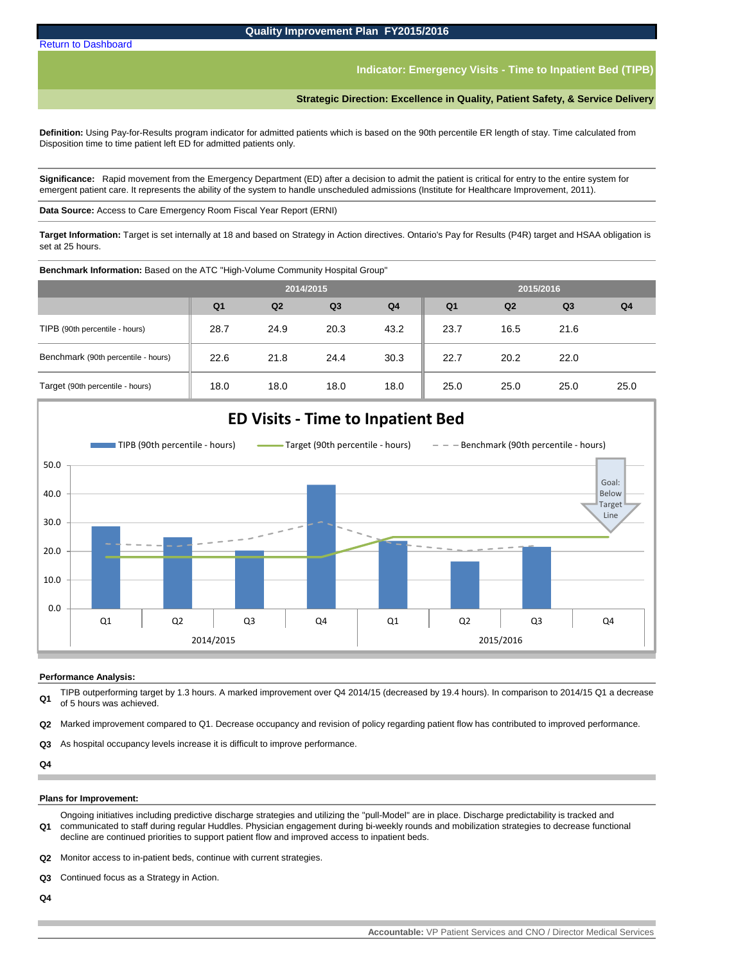**Indicator: Emergency Visits - Time to Inpatient Bed (TIPB)**

**Strategic Direction: Excellence in Quality, Patient Safety, & Service Delivery**

<span id="page-4-0"></span>**Definition:** Using Pay-for-Results program indicator for admitted patients which is based on the 90th percentile ER length of stay. Time calculated from Disposition time to time patient left ED for admitted patients only.

**Significance:** Rapid movement from the Emergency Department (ED) after a decision to admit the patient is critical for entry to the entire system for emergent patient care. It represents the ability of the system to handle unscheduled admissions (Institute for Healthcare Improvement, 2011).

**Data Source:** Access to Care Emergency Room Fiscal Year Report (ERNI)

**Target Information:** Target is set internally at 18 and based on Strategy in Action directives. Ontario's Pay for Results (P4R) target and HSAA obligation is set at 25 hours.

**Benchmark Information:** Based on the ATC "High-Volume Community Hospital Group"

|                                     |                | 2014/2015 |                |                |                |                |                |                |
|-------------------------------------|----------------|-----------|----------------|----------------|----------------|----------------|----------------|----------------|
|                                     | Q <sub>1</sub> | Q2        | Q <sub>3</sub> | Q <sub>4</sub> | Q <sub>1</sub> | Q <sub>2</sub> | Q <sub>3</sub> | Q <sub>4</sub> |
| TIPB (90th percentile - hours)      | 28.7           | 24.9      | 20.3           | 43.2           | 23.7           | 16.5           | 21.6           |                |
| Benchmark (90th percentile - hours) | 22.6           | 21.8      | 24.4           | 30.3           | 22.7           | 20.2           | 22.0           |                |
| Target (90th percentile - hours)    | 18.0           | 18.0      | 18.0           | 18.0           | 25.0           | 25.0           | 25.0           | 25.0           |



#### **Performance Analysis:**

**Q1** TIPB outperforming target by 1.3 hours. A marked improvement over Q4 2014/15 (decreased by 19.4 hours). In comparison to 2014/15 Q1 a decrease of 5 hours was achieved.

**Q2** Marked improvement compared to Q1. Decrease occupancy and revision of policy regarding patient flow has contributed to improved performance.

**Q3** As hospital occupancy levels increase it is difficult to improve performance.

**Q4**

#### **Plans for Improvement:**

**Q1** Ongoing initiatives including predictive discharge strategies and utilizing the "pull-Model" are in place. Discharge predictability is tracked and communicated to staff during regular Huddles. Physician engagement during bi-weekly rounds and mobilization strategies to decrease functional decline are continued priorities to support patient flow and improved access to inpatient beds.

**Q2** Monitor access to in-patient beds, continue with current strategies.

**Q3** Continued focus as a Strategy in Action.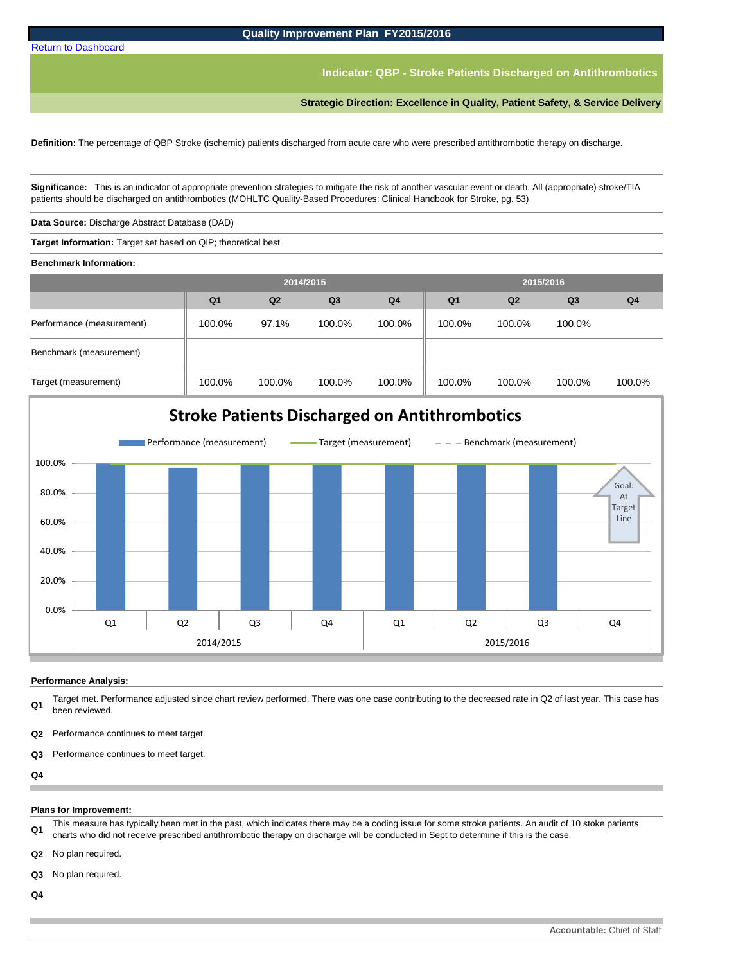**Indicator: QBP - Stroke Patients Discharged on Antithrombotics** 

**Strategic Direction: Excellence in Quality, Patient Safety, & Service Delivery**

<span id="page-5-0"></span>**Definition:** The percentage of QBP Stroke (ischemic) patients discharged from acute care who were prescribed antithrombotic therapy on discharge.

**Significance:** This is an indicator of appropriate prevention strategies to mitigate the risk of another vascular event or death. All (appropriate) stroke/TIA patients should be discharged on antithrombotics (MOHLTC Quality-Based Procedures: Clinical Handbook for Stroke, pg. 53)

**Data Source:** Discharge Abstract Database (DAD)

**Target Information:** Target set based on QIP; theoretical best

**Benchmark Information:** 

|                           |                | 2014/2015 |                |                |                |                |                |                |
|---------------------------|----------------|-----------|----------------|----------------|----------------|----------------|----------------|----------------|
|                           | Q <sub>1</sub> | Q2        | Q <sub>3</sub> | Q <sub>4</sub> | Q <sub>1</sub> | Q <sub>2</sub> | Q <sub>3</sub> | Q <sub>4</sub> |
| Performance (measurement) | 100.0%         | 97.1%     | 100.0%         | 100.0%         | 100.0%         | 100.0%         | 100.0%         |                |
| Benchmark (measurement)   |                |           |                |                |                |                |                |                |
| Target (measurement)      | 100.0%         | 100.0%    | 100.0%         | 100.0%         | 100.0%         | 100.0%         | 100.0%         | 100.0%         |



### **Performance Analysis:**

**Q1** Target met. Performance adjusted since chart review performed. There was one case contributing to the decreased rate in Q2 of last year. This case has been reviewed.

- **Q2** Performance continues to meet target.
- **Q3** Performance continues to meet target.

**Q4** п

### **Plans for Improvement:**

**Q1** This measure has typically been met in the past, which indicates there may be a coding issue for some stroke patients. An audit of 10 stoke patients charts who did not receive prescribed antithrombotic therapy on discharge will be conducted in Sept to determine if this is the case.

**Q2** No plan required.

**Q3** No plan required.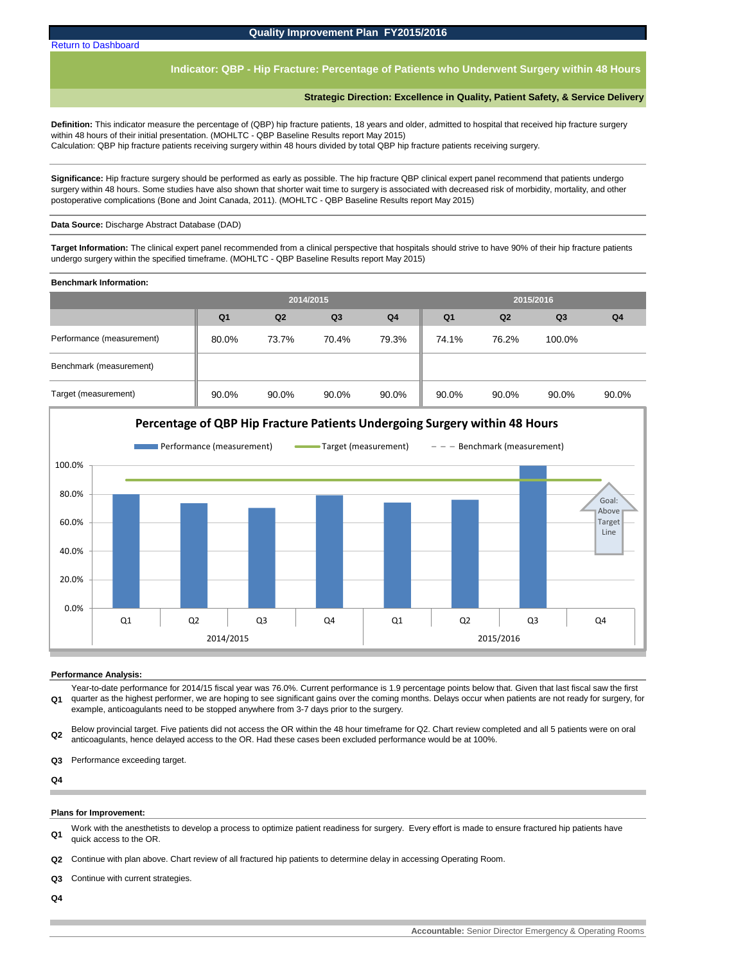**Indicator: QBP - Hip Fracture: Percentage of Patients who Underwent Surgery within 48 Hours** 

### **Strategic Direction: Excellence in Quality, Patient Safety, & Service Delivery**

<span id="page-6-0"></span>**Definition:** This indicator measure the percentage of (QBP) hip fracture patients, 18 years and older, admitted to hospital that received hip fracture surgery within 48 hours of their initial presentation. (MOHLTC - QBP Baseline Results report May 2015) Calculation: QBP hip fracture patients receiving surgery within 48 hours divided by total QBP hip fracture patients receiving surgery.

**Significance:** Hip fracture surgery should be performed as early as possible. The hip fracture QBP clinical expert panel recommend that patients undergo surgery within 48 hours. Some studies have also shown that shorter wait time to surgery is associated with decreased risk of morbidity, mortality, and other postoperative complications (Bone and Joint Canada, 2011). (MOHLTC - QBP Baseline Results report May 2015)

**Data Source:** Discharge Abstract Database (DAD)

**Target Information:** The clinical expert panel recommended from a clinical perspective that hospitals should strive to have 90% of their hip fracture patients undergo surgery within the specified timeframe. (MOHLTC - QBP Baseline Results report May 2015)

**Benchmark Information:** 

|                           |                |       | 2014/2015      |                |                | 2015/2016      |                |                |
|---------------------------|----------------|-------|----------------|----------------|----------------|----------------|----------------|----------------|
|                           | Q <sub>1</sub> | Q2    | Q <sub>3</sub> | Q <sub>4</sub> | Q <sub>1</sub> | Q <sub>2</sub> | Q <sub>3</sub> | Q <sub>4</sub> |
| Performance (measurement) | 80.0%          | 73.7% | 70.4%          | 79.3%          | 74.1%          | 76.2%          | 100.0%         |                |
| Benchmark (measurement)   |                |       |                |                |                |                |                |                |
| Target (measurement)      | 90.0%          | 90.0% | 90.0%          | 90.0%          | 90.0%          | 90.0%          | 90.0%          | 90.0%          |



#### **Performance Analysis:**

**Q1** Year-to-date performance for 2014/15 fiscal year was 76.0%. Current performance is 1.9 percentage points below that. Given that last fiscal saw the first quarter as the highest performer, we are hoping to see significant gains over the coming months. Delays occur when patients are not ready for surgery, for example, anticoagulants need to be stopped anywhere from 3-7 days prior to the surgery.

**Q2** Below provincial target. Five patients did not access the OR within the 48 hour timeframe for Q2. Chart review completed and all 5 patients were on oral anticoagulants, hence delayed access to the OR. Had these cases been excluded performance would be at 100%.

**Q3** Performance exceeding target.

**Q4**

#### **Plans for Improvement:**

**Q1** Work with the anesthetists to develop a process to optimize patient readiness for surgery. Every effort is made to ensure fractured hip patients have quick access to the OR.

**Q2** Continue with plan above. Chart review of all fractured hip patients to determine delay in accessing Operating Room.

**Q3** Continue with current strategies.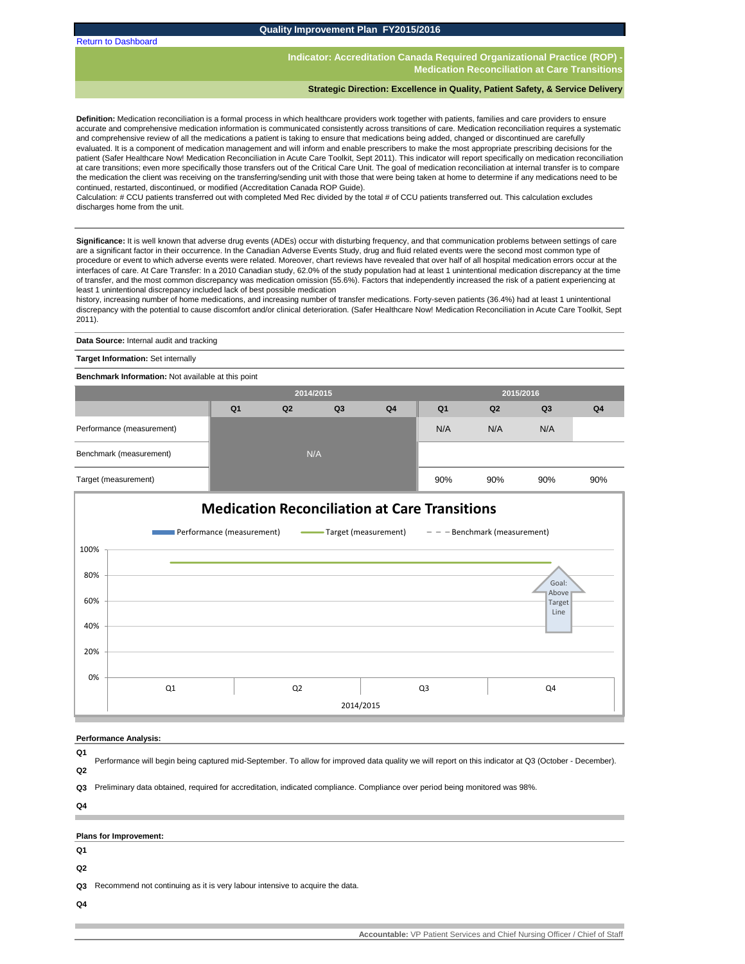<span id="page-7-0"></span>[Return to Dashboard](#page-0-0)

**Quality Improvement Plan FY2015/2016**

**Indicator: Accreditation Canada Required Organizational Practice (ROP) Medication Reconciliation at Care Transition** 

#### **Strategic Direction: Excellence in Quality, Patient Safety, & Service Delivery**

**Definition:** Medication reconciliation is a formal process in which healthcare providers work together with patients, families and care providers to ensure accurate and comprehensive medication information is communicated consistently across transitions of care. Medication reconciliation requires a systematic and comprehensive review of all the medications a patient is taking to ensure that medications being added, changed or discontinued are carefully evaluated. It is a component of medication management and will inform and enable prescribers to make the most appropriate prescribing decisions for the patient (Safer Healthcare Now! Medication Reconciliation in Acute Care Toolkit, Sept 2011). This indicator will report specifically on medication reconciliation at care transitions; even more specifically those transfers out of the Critical Care Unit. The goal of medication reconciliation at internal transfer is to compare the medication the client was receiving on the transferring/sending unit with those that were being taken at home to determine if any medications need to be continued, restarted, discontinued, or modified (Accreditation Canada ROP Guide).

Calculation: # CCU patients transferred out with completed Med Rec divided by the total # of CCU patients transferred out. This calculation excludes discharges home from the unit.

**Significance:** It is well known that adverse drug events (ADEs) occur with disturbing frequency, and that communication problems between settings of care are a significant factor in their occurrence. In the Canadian Adverse Events Study, drug and fluid related events were the second most common type of procedure or event to which adverse events were related. Moreover, chart reviews have revealed that over half of all hospital medication errors occur at the interfaces of care. At Care Transfer: In a 2010 Canadian study, 62.0% of the study population had at least 1 unintentional medication discrepancy at the time of transfer, and the most common discrepancy was medication omission (55.6%). Factors that independently increased the risk of a patient experiencing at least 1 unintentional discrepancy included lack of best possible medication

history, increasing number of home medications, and increasing number of transfer medications. Forty-seven patients (36.4%) had at least 1 unintentional discrepancy with the potential to cause discomfort and/or clinical deterioration. (Safer Healthcare Now! Medication Reconciliation in Acute Care Toolkit, Sept 2011).

**Data Source:** Internal audit and tracking

**Target Information: Set internally** 

**Benchmark Information:** Not available at this point

|                           |                | 2014/2015 |                |                |                |                |                |                |
|---------------------------|----------------|-----------|----------------|----------------|----------------|----------------|----------------|----------------|
|                           | Q <sub>1</sub> | Q2        | Q <sub>3</sub> | Q <sub>4</sub> | Q <sub>1</sub> | Q <sub>2</sub> | Q <sub>3</sub> | Q <sub>4</sub> |
| Performance (measurement) |                |           |                |                | N/A            | N/A            | N/A            |                |
| Benchmark (measurement)   |                | N/A       |                |                |                |                |                |                |
| Target (measurement)      |                |           |                |                | 90%            | 90%            | 90%            | 90%            |



#### **Performance Analysis:**

**Q1**

**Q2** Performance will begin being captured mid-September. To allow for improved data quality we will report on this indicator at Q3 (October - December).

**Q3** Preliminary data obtained, required for accreditation, indicated compliance. Compliance over period being monitored was 98%.

**Q4**

#### **Plans for Improvement:**

- **Q1**
- **Q2**

**Q3** Recommend not continuing as it is very labour intensive to acquire the data.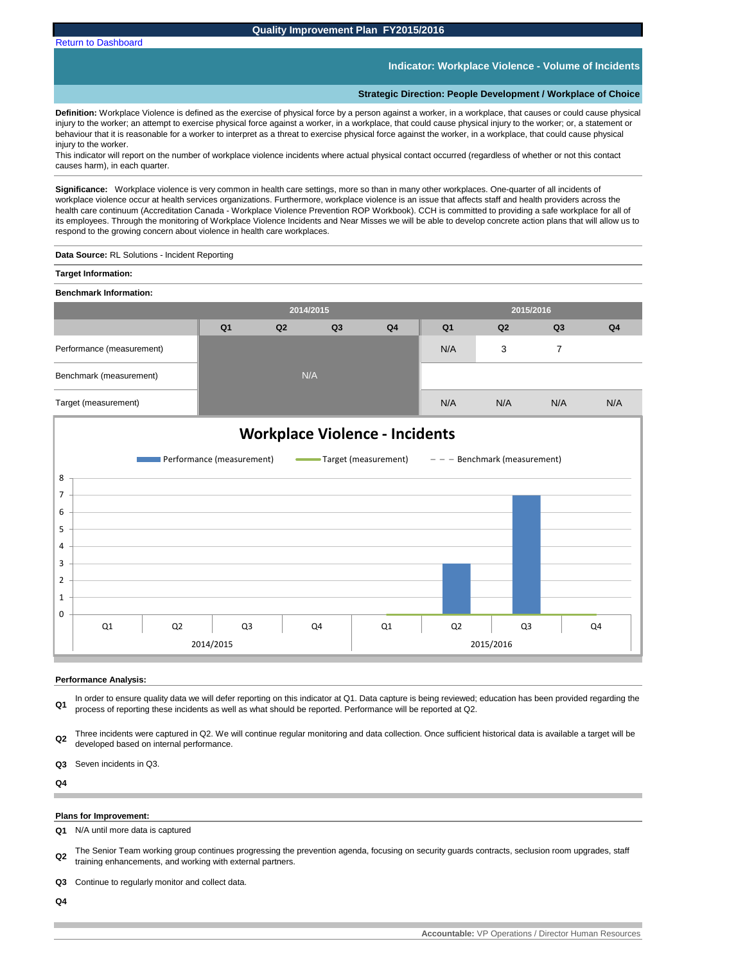**Indicator: Workplace Violence - Volume of Incidents**

#### **Strategic Direction: People Development / Workplace of Choice**

**Definition:** Workplace Violence is defined as the exercise of physical force by a person against a worker, in a workplace, that causes or could cause physical injury to the worker; an attempt to exercise physical force against a worker, in a workplace, that could cause physical injury to the worker; or, a statement or behaviour that it is reasonable for a worker to interpret as a threat to exercise physical force against the worker, in a workplace, that could cause physical injury to the worker.

This indicator will report on the number of workplace violence incidents where actual physical contact occurred (regardless of whether or not this contact causes harm), in each quarter.

**Significance:** Workplace violence is very common in health care settings, more so than in many other workplaces. One-quarter of all incidents of workplace violence occur at health services organizations. Furthermore, workplace violence is an issue that affects staff and health providers across the health care continuum (Accreditation Canada - Workplace Violence Prevention ROP Workbook). CCH is committed to providing a safe workplace for all of its employees. Through the monitoring of Workplace Violence Incidents and Near Misses we will be able to develop concrete action plans that will allow us to respond to the growing concern about violence in health care workplaces.

**Data Source:** RL Solutions - Incident Reporting

#### **Target Information:**

**Benchmark Information:** 

|                           |                | 2014/2015 |                |                | 2015/2016      |     |                |                |  |
|---------------------------|----------------|-----------|----------------|----------------|----------------|-----|----------------|----------------|--|
|                           | Q <sub>1</sub> | Q2        | Q <sub>3</sub> | Q <sub>4</sub> | Q <sub>1</sub> | Q2  | Q <sub>3</sub> | Q <sub>4</sub> |  |
| Performance (measurement) |                |           |                |                | N/A            | 3   |                |                |  |
| Benchmark (measurement)   |                | N/A       |                |                |                |     |                |                |  |
| Target (measurement)      |                |           |                |                | N/A            | N/A | N/A            | N/A            |  |



#### **Performance Analysis:**

**Q1** In order to ensure quality data we will defer reporting on this indicator at Q1. Data capture is being reviewed; education has been provided regarding the process of reporting these incidents as well as what should be reported. Performance will be reported at Q2.

**Q2** Three incidents were captured in Q2. We will continue regular monitoring and data collection. Once sufficient historical data is available a target will be developed based on internal performance.

**Q3** Seven incidents in Q3.

**Q4**

#### **Plans for Improvement:**

**Q1** N/A until more data is captured

- **Q2** The Senior Team working group continues progressing the prevention agenda, focusing on security guards contracts, seclusion room upgrades, staff training enhancements, and working with external partners.
- **Q3** Continue to regularly monitor and collect data.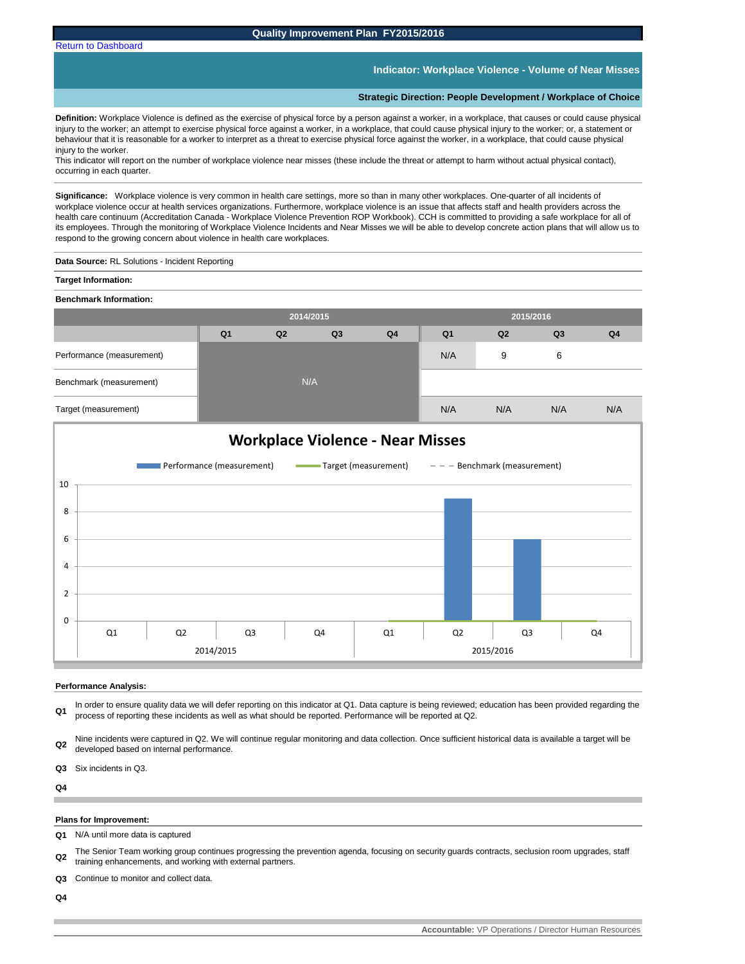[Return to Dashboard](#page-0-0)

## **Indicator: Workplace Violence - Volume of Near Misses**

#### **Strategic Direction: People Development / Workplace of Choice**

**Definition:** Workplace Violence is defined as the exercise of physical force by a person against a worker, in a workplace, that causes or could cause physical injury to the worker; an attempt to exercise physical force against a worker, in a workplace, that could cause physical injury to the worker; or, a statement or behaviour that it is reasonable for a worker to interpret as a threat to exercise physical force against the worker, in a workplace, that could cause physical injury to the worker.

This indicator will report on the number of workplace violence near misses (these include the threat or attempt to harm without actual physical contact), occurring in each quarter.

**Significance:** Workplace violence is very common in health care settings, more so than in many other workplaces. One-quarter of all incidents of workplace violence occur at health services organizations. Furthermore, workplace violence is an issue that affects staff and health providers across the health care continuum (Accreditation Canada - Workplace Violence Prevention ROP Workbook). CCH is committed to providing a safe workplace for all of its employees. Through the monitoring of Workplace Violence Incidents and Near Misses we will be able to develop concrete action plans that will allow us to respond to the growing concern about violence in health care workplaces.

**Data Source:** RL Solutions - Incident Reporting

**Target Information:** 

| <b>Benchmark Information:</b> |                |           |    |                |                |     |                |                |  |
|-------------------------------|----------------|-----------|----|----------------|----------------|-----|----------------|----------------|--|
|                               |                | 2014/2015 |    |                | 2015/2016      |     |                |                |  |
|                               | Q <sub>1</sub> | Q2        | Q3 | Q <sub>4</sub> | Q <sub>1</sub> | Q2  | Q <sub>3</sub> | Q <sub>4</sub> |  |
| Performance (measurement)     |                |           |    |                | N/A            | 9   | 6              |                |  |
| Benchmark (measurement)       |                | N/A       |    |                |                |     |                |                |  |
| Target (measurement)          |                |           |    |                | N/A            | N/A | N/A            | N/A            |  |



#### **Performance Analysis:**

**Q1** In order to ensure quality data we will defer reporting on this indicator at Q1. Data capture is being reviewed; education has been provided regarding the process of reporting these incidents as well as what should be reported. Performance will be reported at Q2.

**Q2** Nine incidents were captured in Q2. We will continue regular monitoring and data collection. Once sufficient historical data is available a target will be developed based on internal performance.

**Q3** Six incidents in Q3.

**Q4**

## **Plans for Improvement:**

**Q1** N/A until more data is captured

**Q2** The Senior Team working group continues progressing the prevention agenda, focusing on security guards contracts, seclusion room upgrades, staff training enhancements, and working with external partners.

**Q3** Continue to monitor and collect data.